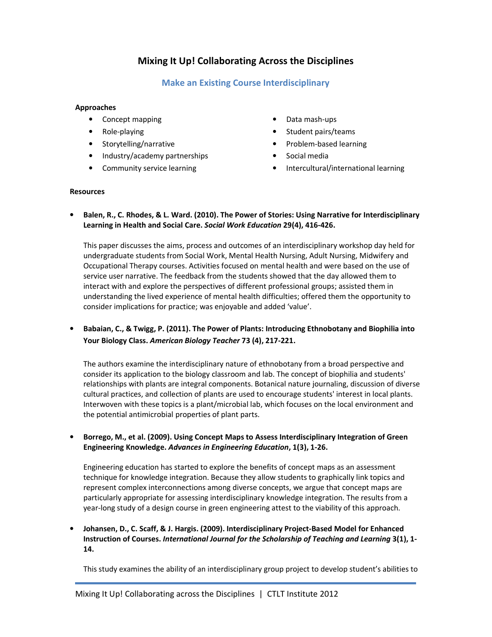# Mixing It Up! Collaborating Across the Disciplines

## Make an Existing Course Interdisciplinary

#### Approaches

- Concept mapping
- Role-playing
- Storytelling/narrative
- Industry/academy partnerships
- Community service learning
- Data mash-ups
- Student pairs/teams
- Problem-based learning
- Social media
- Intercultural/international learning

#### **Resources**

• Balen, R., C. Rhodes, & L. Ward. (2010). The Power of Stories: Using Narrative for Interdisciplinary Learning in Health and Social Care. Social Work Education 29(4), 416-426.

This paper discusses the aims, process and outcomes of an interdisciplinary workshop day held for undergraduate students from Social Work, Mental Health Nursing, Adult Nursing, Midwifery and Occupational Therapy courses. Activities focused on mental health and were based on the use of service user narrative. The feedback from the students showed that the day allowed them to interact with and explore the perspectives of different professional groups; assisted them in understanding the lived experience of mental health difficulties; offered them the opportunity to consider implications for practice; was enjoyable and added 'value'.

### • Babaian, C., & Twigg, P. (2011). The Power of Plants: Introducing Ethnobotany and Biophilia into Your Biology Class. American Biology Teacher 73 (4), 217-221.

The authors examine the interdisciplinary nature of ethnobotany from a broad perspective and consider its application to the biology classroom and lab. The concept of biophilia and students' relationships with plants are integral components. Botanical nature journaling, discussion of diverse cultural practices, and collection of plants are used to encourage students' interest in local plants. Interwoven with these topics is a plant/microbial lab, which focuses on the local environment and the potential antimicrobial properties of plant parts.

#### • Borrego, M., et al. (2009). Using Concept Maps to Assess Interdisciplinary Integration of Green Engineering Knowledge. Advances in Engineering Education, 1(3), 1-26.

Engineering education has started to explore the benefits of concept maps as an assessment technique for knowledge integration. Because they allow students to graphically link topics and represent complex interconnections among diverse concepts, we argue that concept maps are particularly appropriate for assessing interdisciplinary knowledge integration. The results from a year-long study of a design course in green engineering attest to the viability of this approach.

#### • Johansen, D., C. Scaff, & J. Hargis. (2009). Interdisciplinary Project-Based Model for Enhanced Instruction of Courses. International Journal for the Scholarship of Teaching and Learning 3(1), 1- 14.

This study examines the ability of an interdisciplinary group project to develop student's abilities to